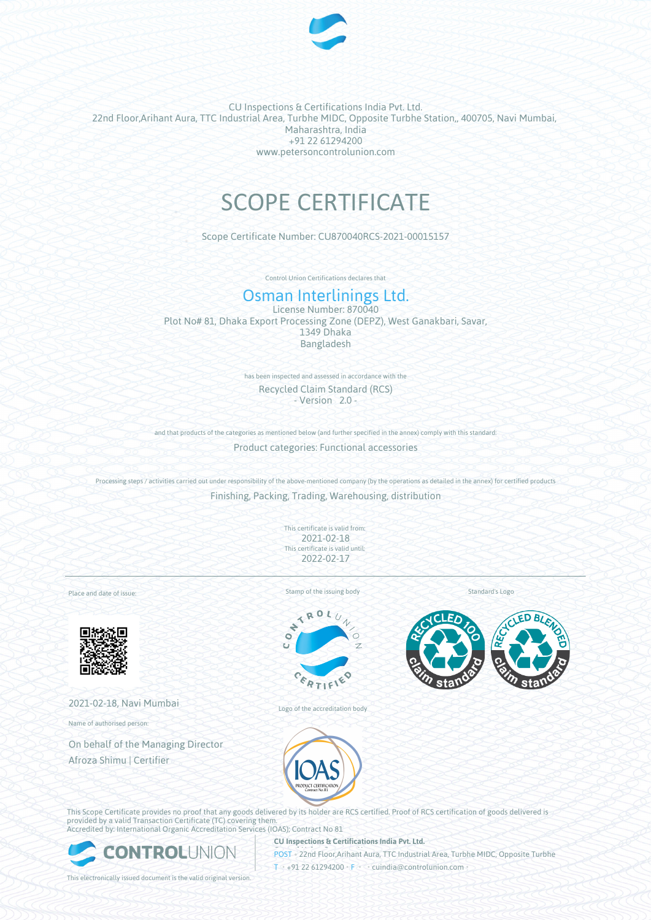

CU Inspections & Certifications India Pvt. Ltd. 22nd Floor,Arihant Aura, TTC Industrial Area, Turbhe MIDC, Opposite Turbhe Station,, 400705, Navi Mumbai, Maharashtra, India +91 22 61294200 www.petersoncontrolunion.com

# SCOPE CERTIFICATE

Scope Certificate Number: CU870040RCS-2021-00015157

Control Union Certifications declares that

# Osman Interlinings Ltd.

License Number: 870040 Plot No# 81, Dhaka Export Processing Zone (DEPZ), West Ganakbari, Savar, 1349 Dhaka Bangladesh

> has been inspected and assessed in accordance with the Recycled Claim Standard (RCS) - Version 2.0 -

and that products of the categories as mentioned below (and further specified in the annex) comply with this standard:

Product categories: Functional accessories

Processing steps / activities carried out under responsibility of the above-mentioned company (by the operations as detailed in the annex) for certified products Finishing, Packing, Trading, Warehousing, distribution

> This certificate is valid from: 2021-02-18 This certificate is valid until: 2022-02-17

Place and date of issue:



2021-02-18, Navi Mumbai

Name of authorised person:

On behalf of the Managing Director Afroza Shimu | Certifier

Stamp of the issuing body





Logo of the accreditation body





This Scope Certificate provides no proof that any goods delivered by its holder are RCS certified. Proof of RCS certification of goods delivered is provided by a valid Transaction Certificate (TC) covering them. Accredited by: International Organic Accreditation Services (IOAS); Contract No 81



**CU Inspections & Certifications India Pvt. Ltd. POST** • 22nd Floor,Arihant Aura, TTC Industrial Area, Turbhe MIDC, Opposite Turbhe

T • +91 22 61294200 • F • • cuindia@controlunion.com •

This electronically issued document is the valid original version.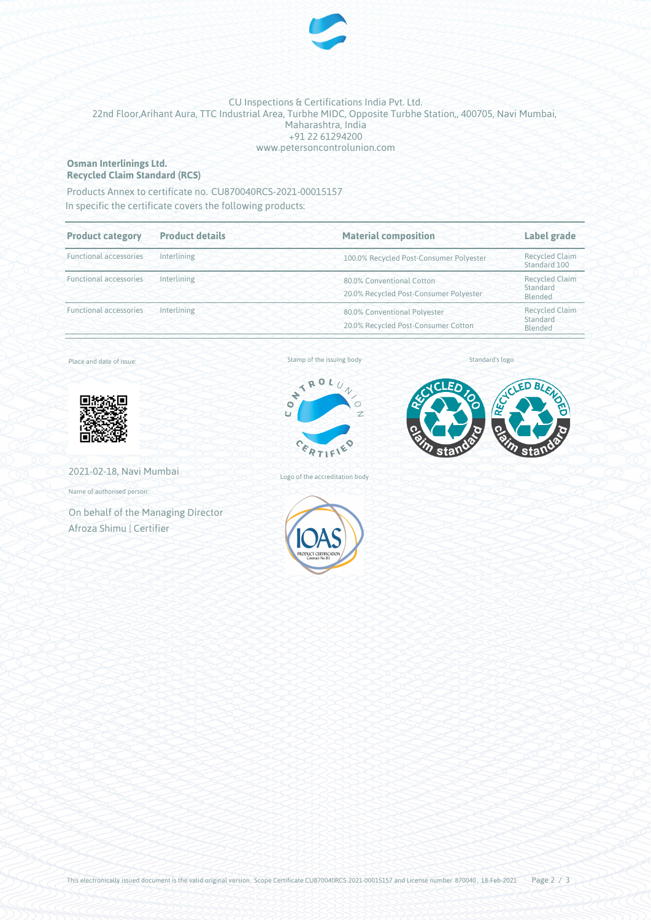

## CU Inspections & Certifications India Pvt. Ltd. 22nd Floor,Arihant Aura, TTC Industrial Area, Turbhe MIDC, Opposite Turbhe Station,, 400705, Navi Mumbai, Maharashtra, India +91 22 61294200 www.petersoncontrolunion.com

### **Osman Interlinings Ltd. Recycled Claim Standard (RCS)**

Products Annex to certificate no. CU870040RCS-2021-00015157

In specific the certificate covers the following products:

| <b>Product details</b><br><b>Product category</b><br><b>Functional accessories</b><br>Interlining |             | <b>Material composition</b>                                         | Label grade<br><b>Recycled Claim</b><br>Standard 100 |  |
|---------------------------------------------------------------------------------------------------|-------------|---------------------------------------------------------------------|------------------------------------------------------|--|
|                                                                                                   |             | 100.0% Recycled Post-Consumer Polyester                             |                                                      |  |
| <b>Functional accessories</b>                                                                     | Interlining | 80.0% Conventional Cotton<br>20.0% Recycled Post-Consumer Polyester | <b>Recycled Claim</b><br>Standard<br>Blended         |  |
| <b>Functional accessories</b><br>Interlining                                                      |             | 80.0% Conventional Polyester<br>20.0% Recycled Post-Consumer Cotton | <b>Recycled Claim</b><br>Standard<br>Blended         |  |

Place and date of issue:



2021-02-18, Navi Mumbai

Name of authorised person:

On behalf of the Managing Director Afroza Shimu | Certifier

Stamp of the issuing body





Standard's logo

Logo of the accreditation body